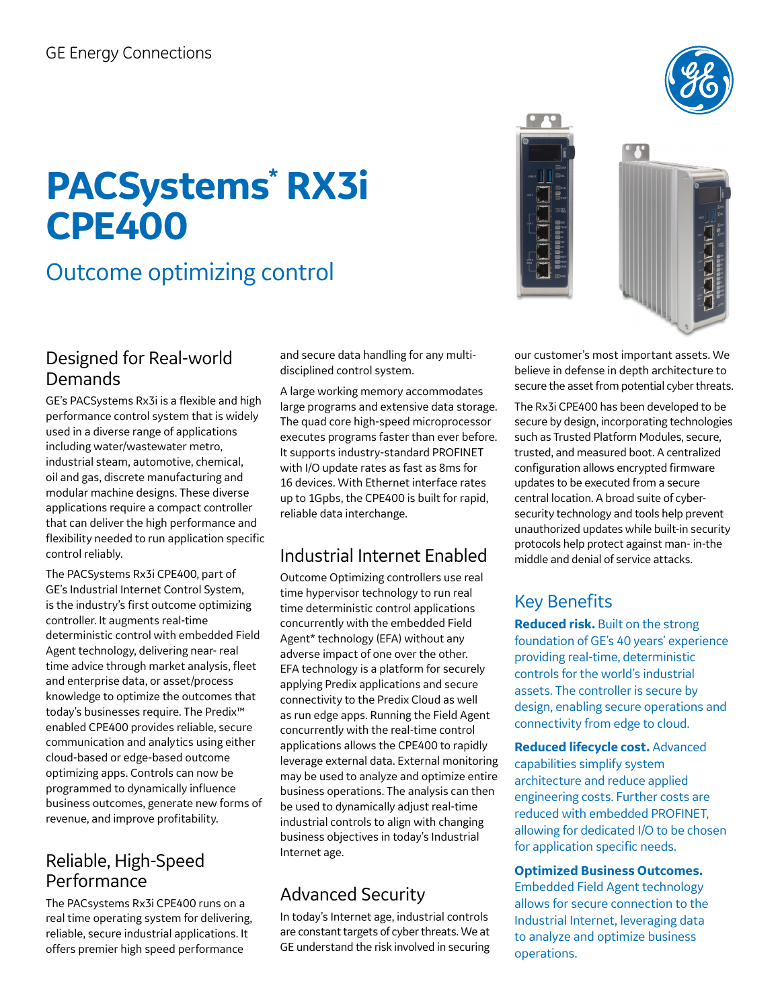# **PACSystems\* RX3i CPE400**

# Outcome optimizing control

### Designed for Real-world Demands

GE's PACSystems Rx3i is a flexible and high performance control system that is widely used in a diverse range of applications including water/wastewater metro, industrial steam, automotive, chemical, oil and gas, discrete manufacturing and modular machine designs. These diverse applications require a compact controller that can deliver the high performance and flexibility needed to run application specific control reliably.

The PACSystems Rx3i CPE400, part of GE's Industrial Internet Control System, is the industry's first outcome optimizing controller. It augments real-time deterministic control with embedded Field Agent technology, delivering near- real time advice through market analysis, fleet and enterprise data, or asset/process knowledge to optimize the outcomes that today's businesses require. The Predix™ enabled CPE400 provides reliable, secure communication and analytics using either cloud-based or edge-based outcome optimizing apps. Controls can now be programmed to dynamically influence business outcomes, generate new forms of revenue, and improve profitability.

## Reliable, High-Speed Performance

The PACsystems Rx3i CPE400 runs on a real time operating system for delivering, reliable, secure industrial applications. It offers premier high speed performance

and secure data handling for any multidisciplined control system.

A large working memory accommodates large programs and extensive data storage. The quad core high-speed microprocessor executes programs faster than ever before. It supports industry-standard PROFINET with I/O update rates as fast as 8ms for 16 devices. With Ethernet interface rates up to 1Gpbs, the CPE400 is built for rapid, reliable data interchange.

# Industrial Internet Enabled

Outcome Optimizing controllers use real time hypervisor technology to run real time deterministic control applications concurrently with the embedded Field Agent\* technology (EFA) without any adverse impact of one over the other. EFA technology is a platform for securely applying Predix applications and secure connectivity to the Predix Cloud as well as run edge apps. Running the Field Agent concurrently with the real-time control applications allows the CPE400 to rapidly leverage external data. External monitoring may be used to analyze and optimize entire business operations. The analysis can then be used to dynamically adjust real-time industrial controls to align with changing business objectives in today's Industrial Internet age.

# Advanced Security

In today's Internet age, industrial controls are constant targets of cyber threats. We at GE understand the risk involved in securing our customer's most important assets. We believe in defense in depth architecture to secure the asset from potential cyber threats.

The Rx3i CPE400 has been developed to be secure by design, incorporating technologies such as Trusted Platform Modules, secure, trusted, and measured boot. A centralized configuration allows encrypted firmware updates to be executed from a secure central location. A broad suite of cybersecurity technology and tools help prevent unauthorized updates while built-in security protocols help protect against man- in-the middle and denial of service attacks.

# Key Benefits

**Reduced risk.** Built on the strong foundation of GE's 40 years' experience providing real-time, deterministic controls for the world's industrial assets. The controller is secure by design, enabling secure operations and connectivity from edge to cloud.

**Reduced lifecycle cost.** Advanced capabilities simplify system architecture and reduce applied engineering costs. Further costs are reduced with embedded PROFINET, allowing for dedicated I/O to be chosen for application specific needs.

#### **Optimized Business Outcomes.**

Embedded Field Agent technology allows for secure connection to the Industrial Internet, leveraging data to analyze and optimize business operations.